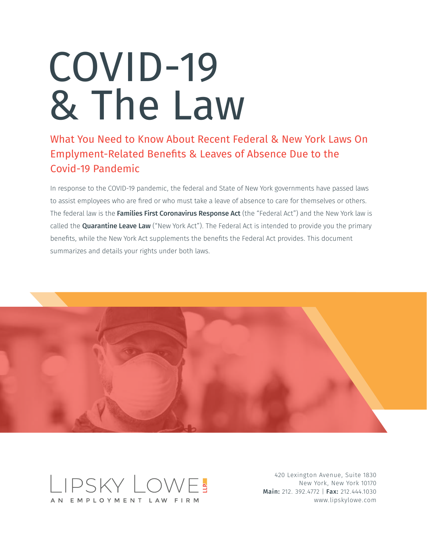# COVID-19 & The Law

What You Need to Know About Recent Federal & New York Laws On Emplyment-Related Benefits & Leaves of Absence Due to the Covid-19 Pandemic

In response to the COVID-19 pandemic, the federal and State of New York governments have passed laws to assist employees who are fired or who must take a leave of absence to care for themselves or others. The federal law is the Families First Coronavirus Response Act (the "Federal Act") and the New York law is called the **Quarantine Leave Law** ("New York Act"). The Federal Act is intended to provide you the primary benefits, while the New York Act supplements the benefits the Federal Act provides. This document summarizes and details your rights under both laws.





420 Lexington Avenue, Suite 1830 New York, New York 10170 Main: 212. 392.4772 | Fax: 212.444.1030 www.lipskylowe.com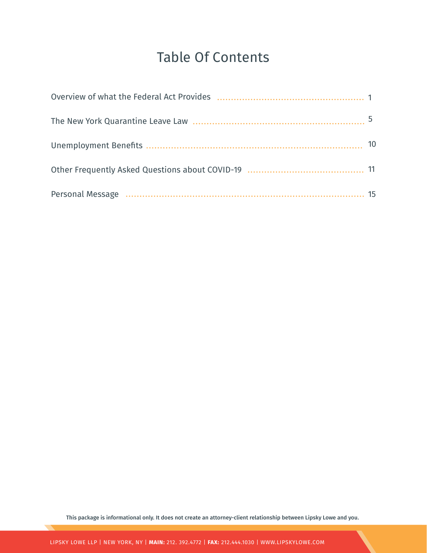# Table Of Contents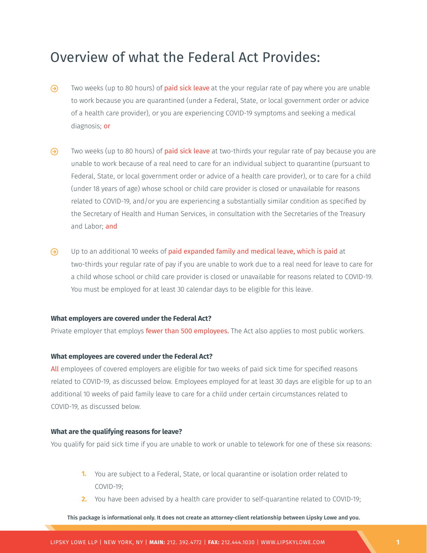# Overview of what the Federal Act Provides:

- $\odot$ Two weeks (up to 80 hours) of **paid sick leave** at the your regular rate of pay where you are unable to work because you are quarantined (under a Federal, State, or local government order or advice of a health care provider), or you are experiencing COVID-19 symptoms and seeking a medical diagnosis; or
- $\odot$ Two weeks (up to 80 hours) of **paid sick leave** at two-thirds your regular rate of pay because you are unable to work because of a real need to care for an individual subject to quarantine (pursuant to Federal, State, or local government order or advice of a health care provider), or to care for a child (under 18 years of age) whose school or child care provider is closed or unavailable for reasons related to COVID-19, and/or you are experiencing a substantially similar condition as specified by the Secretary of Health and Human Services, in consultation with the Secretaries of the Treasury and Labor; and
- $\odot$ Up to an additional 10 weeks of paid expanded family and medical leave, which is paid at two-thirds your regular rate of pay if you are unable to work due to a real need for leave to care for a child whose school or child care provider is closed or unavailable for reasons related to COVID-19. You must be employed for at least 30 calendar days to be eligible for this leave.

#### **What employers are covered under the Federal Act?**

Private employer that employs **fewer than 500 employees.** The Act also applies to most public workers.

#### **What employees are covered under the Federal Act?**

All employees of covered employers are eligible for two weeks of paid sick time for specified reasons related to COVID-19, as discussed below. Employees employed for at least 30 days are eligible for up to an additional 10 weeks of paid family leave to care for a child under certain circumstances related to COVID-19, as discussed below.

#### **What are the qualifying reasons for leave?**

You qualify for paid sick time if you are unable to work or unable to telework for one of these six reasons:

- **1.** You are subject to a Federal, State, or local quarantine or isolation order related to COVID-19;
- **2.** You have been advised by a health care provider to self-quarantine related to COVID-19;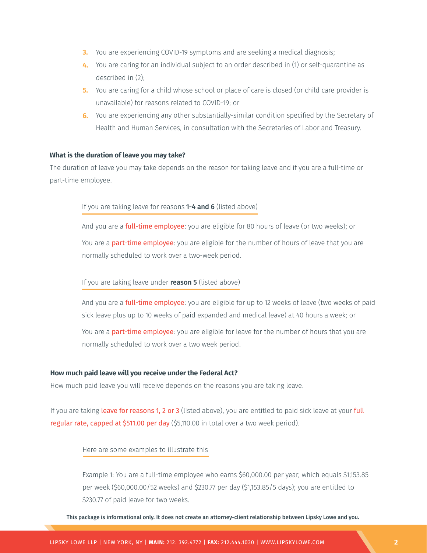- **3.** You are experiencing COVID-19 symptoms and are seeking a medical diagnosis;
- **4.** You are caring for an individual subject to an order described in (1) or self-quarantine as described in (2);
- **5.** You are caring for a child whose school or place of care is closed (or child care provider is unavailable) for reasons related to COVID-19; or
- **6.** You are experiencing any other substantially-similar condition specified by the Secretary of Health and Human Services, in consultation with the Secretaries of Labor and Treasury.

#### **What is the duration of leave you may take?**

The duration of leave you may take depends on the reason for taking leave and if you are a full-time or part-time employee.

#### If you are taking leave for reasons 1-4 and 6 (listed above)

And you are a **full-time employee**: you are eligible for 80 hours of leave (or two weeks); or You are a **part-time employee**: you are eligible for the number of hours of leave that you are normally scheduled to work over a two-week period.

#### If you are taking leave under **reason 5** (listed above)

And you are a **full-time employee**: you are eligible for up to 12 weeks of leave (two weeks of paid sick leave plus up to 10 weeks of paid expanded and medical leave) at 40 hours a week; or

You are a **part-time employee**: you are eligible for leave for the number of hours that you are normally scheduled to work over a two week period.

#### **How much paid leave will you receive under the Federal Act?**

How much paid leave you will receive depends on the reasons you are taking leave.

If you are taking leave for reasons 1, 2 or 3 (listed above), you are entitled to paid sick leave at your full regular rate, capped at \$511.00 per day (\$5,110.00 in total over a two week period).

#### Here are some examples to illustrate this

Example 1: You are a full-time employee who earns \$60,000.00 per year, which equals \$1,153.85 per week (\$60,000.00/52 weeks) and \$230.77 per day (\$1,153.85/5 days); you are entitled to \$230.77 of paid leave for two weeks.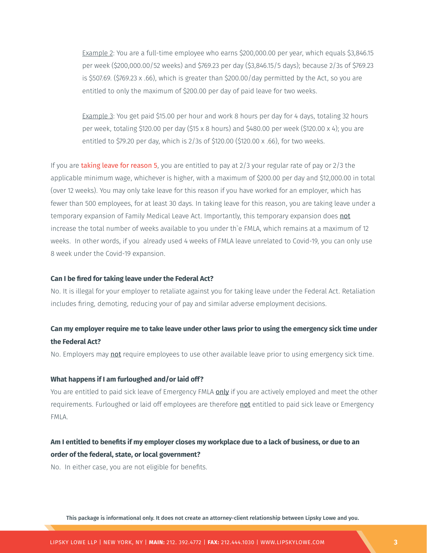Example 2: You are a full-time employee who earns \$200,000.00 per year, which equals \$3,846.15 per week (\$200,000.00/52 weeks) and \$769.23 per day (\$3,846.15/5 days); because 2/3s of \$769.23 is \$507.69. (\$769.23 x .66), which is greater than \$200.00/day permitted by the Act, so you are entitled to only the maximum of \$200.00 per day of paid leave for two weeks.

Example 3: You get paid \$15.00 per hour and work 8 hours per day for 4 days, totaling 32 hours per week, totaling \$120.00 per day (\$15 x 8 hours) and \$480.00 per week (\$120.00 x 4); you are entitled to \$79.20 per day, which is 2/3s of \$120.00 (\$120.00 x .66), for two weeks.

If you are taking leave for reason 5, you are entitled to pay at  $2/3$  your regular rate of pay or  $2/3$  the applicable minimum wage, whichever is higher, with a maximum of \$200.00 per day and \$12,000.00 in total (over 12 weeks). You may only take leave for this reason if you have worked for an employer, which has fewer than 500 employees, for at least 30 days. In taking leave for this reason, you are taking leave under a temporary expansion of Family Medical Leave Act. Importantly, this temporary expansion does not increase the total number of weeks available to you under th`e FMLA, which remains at a maximum of 12 weeks. In other words, if you already used 4 weeks of FMLA leave unrelated to Covid-19, you can only use 8 week under the Covid-19 expansion.

#### **Can I be fired for taking leave under the Federal Act?**

No. It is illegal for your employer to retaliate against you for taking leave under the Federal Act. Retaliation includes firing, demoting, reducing your of pay and similar adverse employment decisions.

## **Can my employer require me to take leave under other laws prior to using the emergency sick time under the Federal Act?**

No. Employers may **not** require employees to use other available leave prior to using emergency sick time.

#### **What happens if I am furloughed and/or laid off?**

You are entitled to paid sick leave of Emergency FMLA only if you are actively employed and meet the other requirements. Furloughed or laid off employees are therefore not entitled to paid sick leave or Emergency FMLA.

# **Am I entitled to benefits if my employer closes my workplace due to a lack of business, or due to an order of the federal, state, or local government?**

No. In either case, you are not eligible for benefits.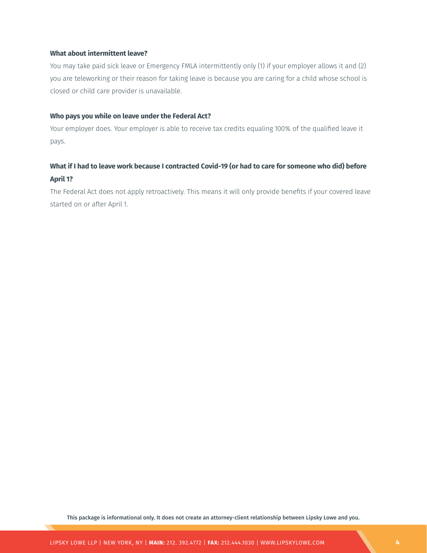#### **What about intermittent leave?**

You may take paid sick leave or Emergency FMLA intermittently only (1) if your employer allows it and (2) you are teleworking or their reason for taking leave is because you are caring for a child whose school is closed or child care provider is unavailable.

#### **Who pays you while on leave under the Federal Act?**

Your employer does. Your employer is able to receive tax credits equaling 100% of the qualified leave it pays.

# **What if I had to leave work because I contracted Covid-19 (or had to care for someone who did) before April 1?**

The Federal Act does not apply retroactively. This means it will only provide benefits if your covered leave started on or after April 1.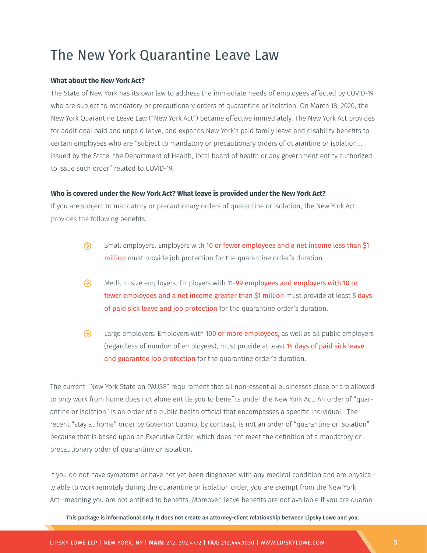# The New York Quarantine Leave Law

#### **What about the New York Act?**

The State of New York has its own law to address the immediate needs of employees affected by COVID-19 who are subject to mandatory or precautionary orders of quarantine or isolation. On March 18, 2020, the New York Quarantine Leave Law ("New York Act") became effective immediately. The New York Act provides for additional paid and unpaid leave, and expands New York's paid family leave and disability benefits to certain employees who are "subject to mandatory or precautionary orders of quarantine or isolation… issued by the State, the Department of Health, local board of health or any government entity authorized to issue such order" related to COVID-19.

#### **Who is covered under the New York Act? What leave is provided under the New York Act?**

If you are subject to mandatory or precautionary orders of quarantine or isolation, the New York Act provides the following benefits:

- $\Theta$ Small employers. Employers with 10 or fewer employees and a net income less than \$1 million must provide job protection for the quarantine order's duration.
- ⊛ Medium size employers. Employers with 11-99 employees and employers with 10 or fewer employees and a net income greater than \$1 million must provide at least 5 days of paid sick leave and job protection for the quarantine order's duration.
- $\Theta$ Large employers. Employers with 100 or more employees, as well as all public employers (regardless of number of employees), must provide at least 14 days of paid sick leave and guarantee job protection for the quarantine order's duration.

The current "New York State on PAUSE" requirement that all non-essential businesses close or are allowed to only work from home does not alone entitle you to benefits under the New York Act. An order of "quarantine or isolation" is an order of a public health official that encompasses a specific individual. The recent "stay at home" order by Governor Cuomo, by contrast, is not an order of "quarantine or isolation" because that is based upon an Executive Order, which does not meet the definition of a mandatory or precautionary order of quarantine or isolation.

If you do not have symptoms or have not yet been diagnosed with any medical condition and are physically able to work remotely during the quarantine or isolation order, you are exempt from the New York Act—meaning you are not entitled to benefits. Moreover, leave benefits are not available if you are quaran-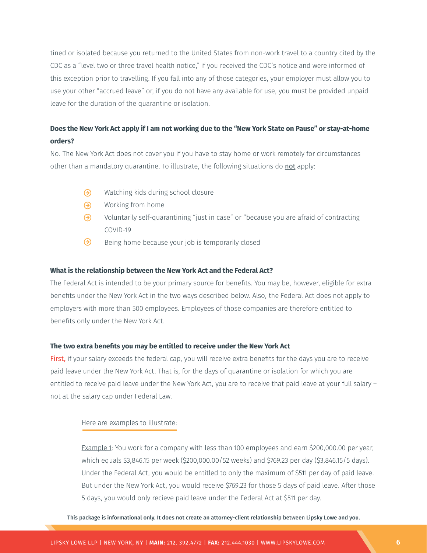tined or isolated because you returned to the United States from non-work travel to a country cited by the CDC as a "level two or three travel health notice," if you received the CDC's notice and were informed of this exception prior to travelling. If you fall into any of those categories, your employer must allow you to use your other "accrued leave" or, if you do not have any available for use, you must be provided unpaid leave for the duration of the quarantine or isolation.

## **Does the New York Act apply if I am not working due to the "New York State on Pause" or stay-at-home orders?**

No. The New York Act does not cover you if you have to stay home or work remotely for circumstances other than a mandatory quarantine. To illustrate, the following situations do not apply:

- $\odot$ Watching kids during school closure
- $\Theta$ Working from home
- ⊛ Voluntarily self-quarantining "just in case" or "because you are afraid of contracting COVID-19
- ⊛ Being home because your job is temporarily closed

#### **What is the relationship between the New York Act and the Federal Act?**

The Federal Act is intended to be your primary source for benefits. You may be, however, eligible for extra benefits under the New York Act in the two ways described below. Also, the Federal Act does not apply to employers with more than 500 employees. Employees of those companies are therefore entitled to benefits only under the New York Act.

#### **The two extra benefits you may be entitled to receive under the New York Act**

First, if your salary exceeds the federal cap, you will receive extra benefits for the days you are to receive paid leave under the New York Act. That is, for the days of quarantine or isolation for which you are entitled to receive paid leave under the New York Act, you are to receive that paid leave at your full salary – not at the salary cap under Federal Law.

#### Here are examples to illustrate:

Example 1: You work for a company with less than 100 employees and earn \$200,000.00 per year, which equals \$3,846.15 per week (\$200,000.00/52 weeks) and \$769.23 per day (\$3,846.15/5 days). Under the Federal Act, you would be entitled to only the maximum of \$511 per day of paid leave. But under the New York Act, you would receive \$769.23 for those 5 days of paid leave. After those 5 days, you would only recieve paid leave under the Federal Act at \$511 per day.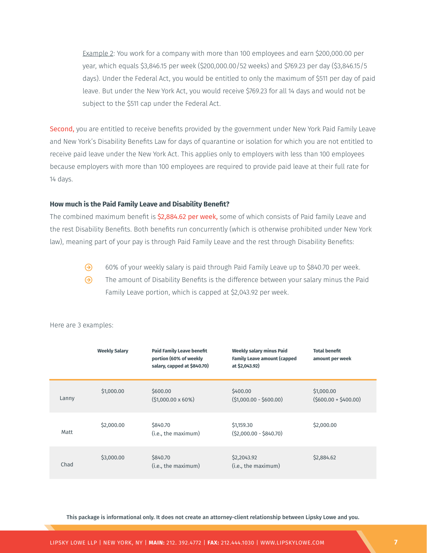Example 2: You work for a company with more than 100 employees and earn \$200,000.00 per year, which equals \$3,846.15 per week (\$200,000.00/52 weeks) and \$769.23 per day (\$3,846.15/5 days). Under the Federal Act, you would be entitled to only the maximum of \$511 per day of paid leave. But under the New York Act, you would receive \$769.23 for all 14 days and would not be subject to the \$511 cap under the Federal Act.

Second, you are entitled to receive benefits provided by the government under New York Paid Family Leave and New York's Disability Benefits Law for days of quarantine or isolation for which you are not entitled to receive paid leave under the New York Act. This applies only to employers with less than 100 employees because employers with more than 100 employees are required to provide paid leave at their full rate for 14 days.

#### **How much is the Paid Family Leave and Disability Benefit?**

The combined maximum benefit is \$2,884.62 per week, some of which consists of Paid family Leave and the rest Disability Benefits. Both benefits run concurrently (which is otherwise prohibited under New York law), meaning part of your pay is through Paid Family Leave and the rest through Disability Benefits:

- $\odot$ 60% of your weekly salary is paid through Paid Family Leave up to \$840.70 per week.
- $\odot$ The amount of Disability Benefits is the difference between your salary minus the Paid Family Leave portion, which is capped at \$2,043.92 per week.

|       | <b>Weekly Salary</b> | <b>Paid Family Leave benefit</b><br>portion (60% of weekly<br>salary, capped at \$840.70) | <b>Weekly salary minus Paid</b><br><b>Family Leave amount (capped</b><br>at \$2,043.92) | <b>Total benefit</b><br>amount per week |
|-------|----------------------|-------------------------------------------------------------------------------------------|-----------------------------------------------------------------------------------------|-----------------------------------------|
| Lanny | \$1,000.00           | \$600.00<br>$(51,000.00 \times 60\%)$                                                     | \$400.00<br>$(51,000.00 - 5600.00)$                                                     | \$1,000.00<br>$(5600.00 + 5400.00)$     |
| Matt  | \$2,000.00           | \$840.70<br>(i.e., the maximum)                                                           | \$1,159.30<br>$(52,000.00 - 5840.70)$                                                   | \$2,000.00                              |
| Chad  | \$3,000.00           | \$840.70<br>(i.e., the maximum)                                                           | \$2,2043.92<br>(i.e., the maximum)                                                      | \$2,884.62                              |

Here are 3 examples: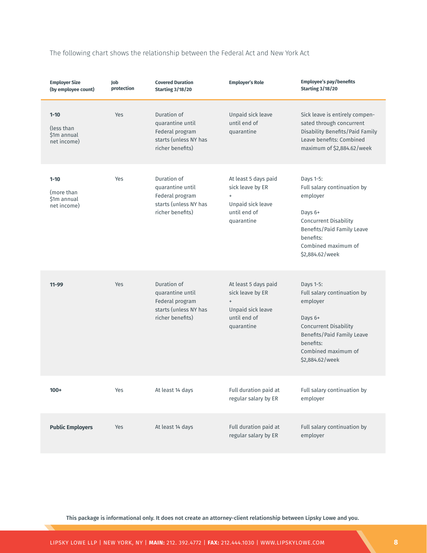|  |  | The following chart shows the relationship between the Federal Act and New York Act |  |  |  |  |  |  |  |  |
|--|--|-------------------------------------------------------------------------------------|--|--|--|--|--|--|--|--|
|--|--|-------------------------------------------------------------------------------------|--|--|--|--|--|--|--|--|

| <b>Employer Size</b><br>(by employee count)           | Job<br>protection | <b>Covered Duration</b><br><b>Starting 3/18/20</b>                                              | <b>Employer's Role</b>                                                                                   | <b>Employee's pay/benefits</b><br><b>Starting 3/18/20</b>                                                                                                                            |
|-------------------------------------------------------|-------------------|-------------------------------------------------------------------------------------------------|----------------------------------------------------------------------------------------------------------|--------------------------------------------------------------------------------------------------------------------------------------------------------------------------------------|
| $1 - 10$<br>(less than)<br>\$1m annual<br>net income) | Yes               | Duration of<br>quarantine until<br>Federal program<br>starts (unless NY has<br>richer benefits) | Unpaid sick leave<br>until end of<br>quarantine                                                          | Sick leave is entirely compen-<br>sated through concurrent<br>Disability Benefits/Paid Family<br>Leave benefits: Combined<br>maximum of \$2,884.62/week                              |
| $1 - 10$<br>(more than<br>\$1m annual<br>net income)  | Yes               | Duration of<br>quarantine until<br>Federal program<br>starts (unless NY has<br>richer benefits) | At least 5 days paid<br>sick leave by ER<br>$\ddot{}$<br>Unpaid sick leave<br>until end of<br>quarantine | Days 1-5:<br>Full salary continuation by<br>employer<br>Days 6+<br><b>Concurrent Disability</b><br>Benefits/Paid Family Leave<br>benefits:<br>Combined maximum of<br>\$2,884.62/week |
| $11 - 99$                                             | Yes               | Duration of<br>quarantine until<br>Federal program<br>starts (unless NY has<br>richer benefits) | At least 5 days paid<br>sick leave by ER<br>$\ddot{}$<br>Unpaid sick leave<br>until end of<br>quarantine | Days 1-5:<br>Full salary continuation by<br>employer<br>Days 6+<br><b>Concurrent Disability</b><br>Benefits/Paid Family Leave<br>benefits:<br>Combined maximum of<br>\$2,884.62/week |
| $100+$                                                | Yes               | At least 14 days                                                                                | Full duration paid at<br>regular salary by ER                                                            | Full salary continuation by<br>employer                                                                                                                                              |
| <b>Public Employers</b>                               | Yes               | At least 14 days                                                                                | Full duration paid at<br>regular salary by ER                                                            | Full salary continuation by<br>employer                                                                                                                                              |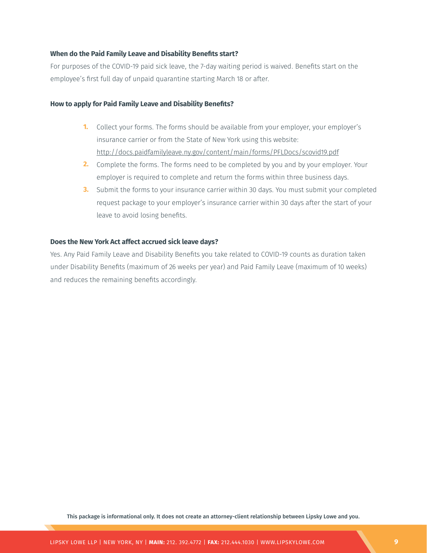#### **When do the Paid Family Leave and Disability Benefits start?**

For purposes of the COVID-19 paid sick leave, the 7-day waiting period is waived. Benefits start on the employee's first full day of unpaid quarantine starting March 18 or after.

#### **How to apply for Paid Family Leave and Disability Benefits?**

- **1.** Collect your forms. The forms should be available from your employer, your employer's insurance carrier or from the State of New York using this website: http://docs.paidfamilyleave.ny.gov/content/main/forms/PFLDocs/scovid19.pdf
- **2.** Complete the forms. The forms need to be completed by you and by your employer. Your employer is required to complete and return the forms within three business days.
- **3.** Submit the forms to your insurance carrier within 30 days. You must submit your completed request package to your employer's insurance carrier within 30 days after the start of your leave to avoid losing benefits.

#### **Does the New York Act affect accrued sick leave days?**

Yes. Any Paid Family Leave and Disability Benefits you take related to COVID-19 counts as duration taken under Disability Benefits (maximum of 26 weeks per year) and Paid Family Leave (maximum of 10 weeks) and reduces the remaining benefits accordingly.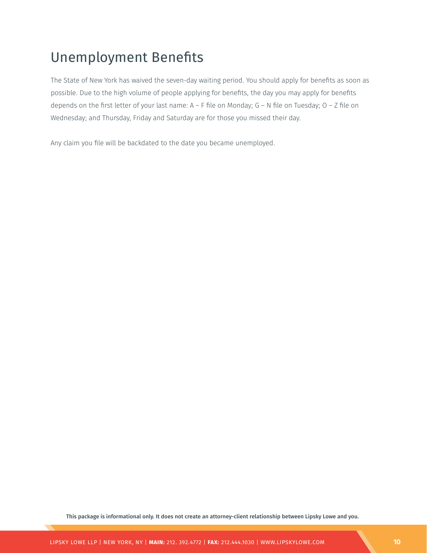# Unemployment Benefits

The State of New York has waived the seven-day waiting period. You should apply for benefits as soon as possible. Due to the high volume of people applying for benefits, the day you may apply for benefits depends on the first letter of your last name: A – F file on Monday; G – N file on Tuesday; O – Z file on Wednesday; and Thursday, Friday and Saturday are for those you missed their day.

Any claim you file will be backdated to the date you became unemployed.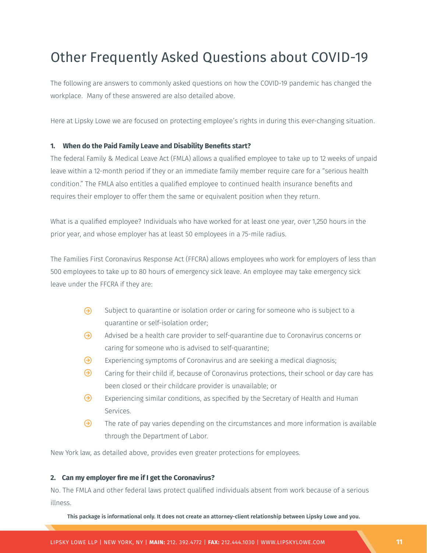# Other Frequently Asked Questions about COVID-19

The following are answers to commonly asked questions on how the COVID-19 pandemic has changed the workplace. Many of these answered are also detailed above.

Here at Lipsky Lowe we are focused on protecting employee's rights in during this ever-changing situation.

#### **1. When do the Paid Family Leave and Disability Benefits start?**

The federal Family & Medical Leave Act (FMLA) allows a qualified employee to take up to 12 weeks of unpaid leave within a 12-month period if they or an immediate family member require care for a "serious health condition." The FMLA also entitles a qualified employee to continued health insurance benefits and requires their employer to offer them the same or equivalent position when they return.

What is a qualified employee? Individuals who have worked for at least one year, over 1,250 hours in the prior year, and whose employer has at least 50 employees in a 75-mile radius.

The Families First Coronavirus Response Act (FFCRA) allows employees who work for employers of less than 500 employees to take up to 80 hours of emergency sick leave. An employee may take emergency sick leave under the FFCRA if they are:

- $\Theta$ Subject to quarantine or isolation order or caring for someone who is subject to a quarantine or self-isolation order;
- $\odot$ Advised be a health care provider to self-quarantine due to Coronavirus concerns or caring for someone who is advised to self-quarantine;
- $\odot$ Experiencing symptoms of Coronavirus and are seeking a medical diagnosis;
- $\odot$ Caring for their child if, because of Coronavirus protections, their school or day care has been closed or their childcare provider is unavailable; or
- $\odot$ Experiencing similar conditions, as specified by the Secretary of Health and Human Services.
- $\odot$ The rate of pay varies depending on the circumstances and more information is available through the Department of Labor.

New York law, as detailed above, provides even greater protections for employees.

#### **2. Can my employer fire me if I get the Coronavirus?**

No. The FMLA and other federal laws protect qualified individuals absent from work because of a serious illness.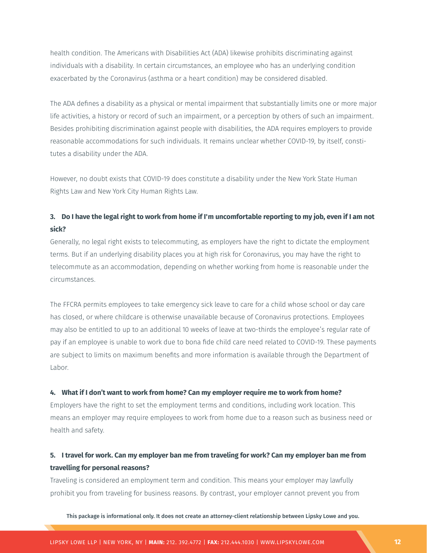health condition. The Americans with Disabilities Act (ADA) likewise prohibits discriminating against individuals with a disability. In certain circumstances, an employee who has an underlying condition exacerbated by the Coronavirus (asthma or a heart condition) may be considered disabled.

The ADA defines a disability as a physical or mental impairment that substantially limits one or more major life activities, a history or record of such an impairment, or a perception by others of such an impairment. Besides prohibiting discrimination against people with disabilities, the ADA requires employers to provide reasonable accommodations for such individuals. It remains unclear whether COVID-19, by itself, constitutes a disability under the ADA.

However, no doubt exists that COVID-19 does constitute a disability under the New York State Human Rights Law and New York City Human Rights Law.

## **3. Do I have the legal right to work from home if I'm uncomfortable reporting to my job, even if I am not sick?**

Generally, no legal right exists to telecommuting, as employers have the right to dictate the employment terms. But if an underlying disability places you at high risk for Coronavirus, you may have the right to telecommute as an accommodation, depending on whether working from home is reasonable under the circumstances.

The FFCRA permits employees to take emergency sick leave to care for a child whose school or day care has closed, or where childcare is otherwise unavailable because of Coronavirus protections. Employees may also be entitled to up to an additional 10 weeks of leave at two-thirds the employee's regular rate of pay if an employee is unable to work due to bona fide child care need related to COVID-19. These payments are subject to limits on maximum benefits and more information is available through the Department of Labor.

#### **4. What if I don't want to work from home? Can my employer require me to work from home?**

Employers have the right to set the employment terms and conditions, including work location. This means an employer may require employees to work from home due to a reason such as business need or health and safety.

## **5. I travel for work. Can my employer ban me from traveling for work? Can my employer ban me from travelling for personal reasons?**

Traveling is considered an employment term and condition. This means your employer may lawfully prohibit you from traveling for business reasons. By contrast, your employer cannot prevent you from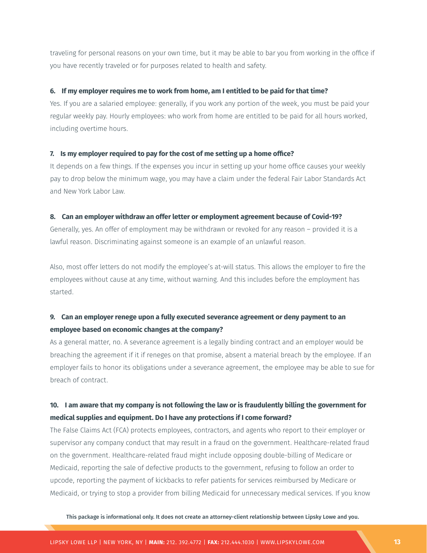traveling for personal reasons on your own time, but it may be able to bar you from working in the office if you have recently traveled or for purposes related to health and safety.

#### **6. If my employer requires me to work from home, am I entitled to be paid for that time?**

Yes. If you are a salaried employee: generally, if you work any portion of the week, you must be paid your regular weekly pay. Hourly employees: who work from home are entitled to be paid for all hours worked, including overtime hours.

#### **7. Is my employer required to pay for the cost of me setting up a home office?**

It depends on a few things. If the expenses you incur in setting up your home office causes your weekly pay to drop below the minimum wage, you may have a claim under the federal Fair Labor Standards Act and New York Labor Law.

#### **8. Can an employer withdraw an offer letter or employment agreement because of Covid-19?**

Generally, yes. An offer of employment may be withdrawn or revoked for any reason – provided it is a lawful reason. Discriminating against someone is an example of an unlawful reason.

Also, most offer letters do not modify the employee's at-will status. This allows the employer to fire the employees without cause at any time, without warning. And this includes before the employment has started.

## **9. Can an employer renege upon a fully executed severance agreement or deny payment to an employee based on economic changes at the company?**

As a general matter, no. A severance agreement is a legally binding contract and an employer would be breaching the agreement if it if reneges on that promise, absent a material breach by the employee. If an employer fails to honor its obligations under a severance agreement, the employee may be able to sue for breach of contract.

## **10. I am aware that my company is not following the law or is fraudulently billing the government for medical supplies and equipment. Do I have any protections if I come forward?**

The False Claims Act (FCA) protects employees, contractors, and agents who report to their employer or supervisor any company conduct that may result in a fraud on the government. Healthcare-related fraud on the government. Healthcare-related fraud might include opposing double-billing of Medicare or Medicaid, reporting the sale of defective products to the government, refusing to follow an order to upcode, reporting the payment of kickbacks to refer patients for services reimbursed by Medicare or Medicaid, or trying to stop a provider from billing Medicaid for unnecessary medical services. If you know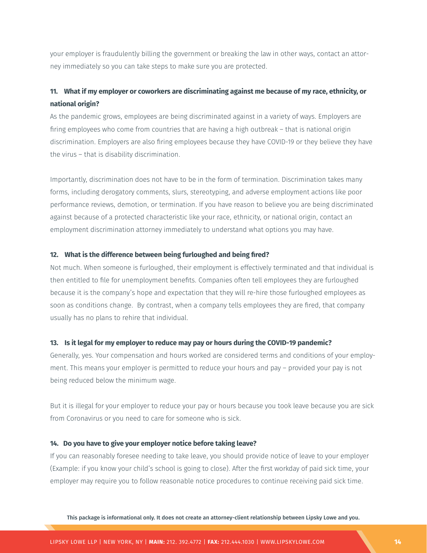your employer is fraudulently billing the government or breaking the law in other ways, contact an attorney immediately so you can take steps to make sure you are protected.

## **11. What if my employer or coworkers are discriminating against me because of my race, ethnicity, or national origin?**

As the pandemic grows, employees are being discriminated against in a variety of ways. Employers are firing employees who come from countries that are having a high outbreak – that is national origin discrimination. Employers are also firing employees because they have COVID-19 or they believe they have the virus – that is disability discrimination.

Importantly, discrimination does not have to be in the form of termination. Discrimination takes many forms, including derogatory comments, slurs, stereotyping, and adverse employment actions like poor performance reviews, demotion, or termination. If you have reason to believe you are being discriminated against because of a protected characteristic like your race, ethnicity, or national origin, contact an employment discrimination attorney immediately to understand what options you may have.

#### **12. What is the difference between being furloughed and being fired?**

Not much. When someone is furloughed, their employment is effectively terminated and that individual is then entitled to file for unemployment benefits. Companies often tell employees they are furloughed because it is the company's hope and expectation that they will re-hire those furloughed employees as soon as conditions change. By contrast, when a company tells employees they are fired, that company usually has no plans to rehire that individual.

#### **13. Is it legal for my employer to reduce may pay or hours during the COVID-19 pandemic?**

Generally, yes. Your compensation and hours worked are considered terms and conditions of your employment. This means your employer is permitted to reduce your hours and pay – provided your pay is not being reduced below the minimum wage.

But it is illegal for your employer to reduce your pay or hours because you took leave because you are sick from Coronavirus or you need to care for someone who is sick.

#### **14. Do you have to give your employer notice before taking leave?**

If you can reasonably foresee needing to take leave, you should provide notice of leave to your employer (Example: if you know your child's school is going to close). After the first workday of paid sick time, your employer may require you to follow reasonable notice procedures to continue receiving paid sick time.